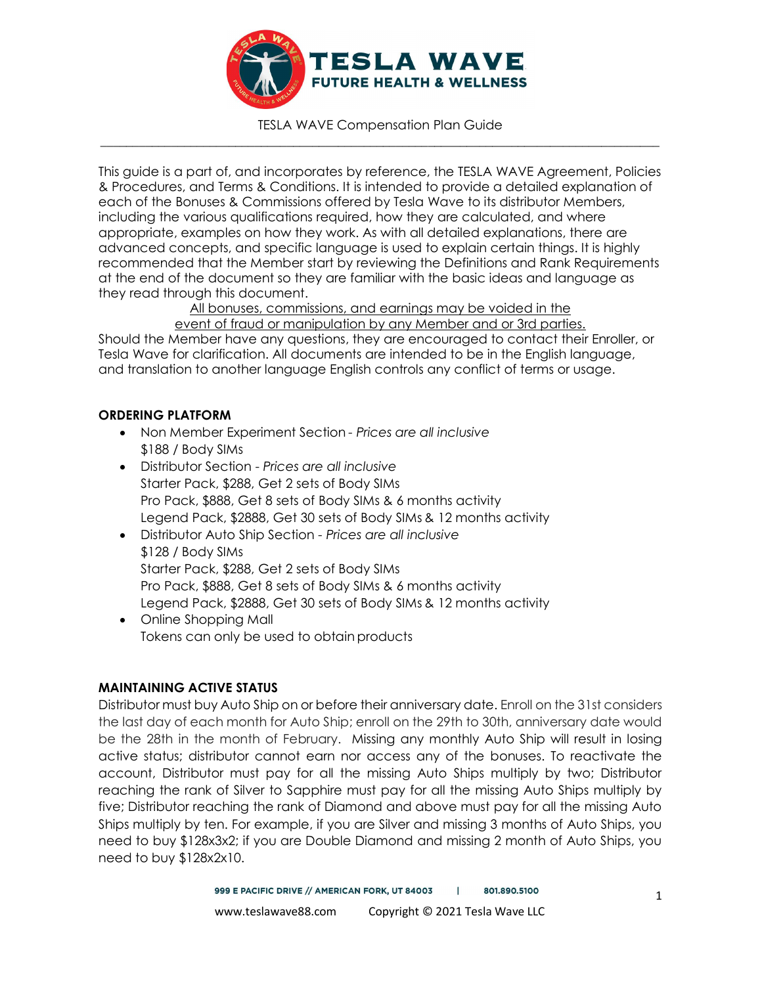

This guide is a part of, and incorporates by reference, the TESLA WAVE Agreement, Policies & Procedures, and Terms & Conditions. It is intended to provide a detailed explanation of each of the Bonuses & Commissions offered by Tesla Wave to its distributor Members, including the various qualifications required, how they are calculated, and where appropriate, examples on how they work. As with all detailed explanations, there are advanced concepts, and specific language is used to explain certain things. It is highly recommended that the Member start by reviewing the Definitions and Rank Requirements at the end of the document so they are familiar with the basic ideas and language as they read through this document.

All bonuses, commissions, and earnings may be voided in the

## event of fraud or manipulation by any Member and or 3rd parties.

Should the Member have any questions, they are encouraged to contact their Enroller, or Tesla Wave for clarification. All documents are intended to be in the English language, and translation to another language English controls any conflict of terms or usage.

### ORDERING PLATFORM

- Non Member Experiment Section Prices are all inclusive \$188 / Body SIMs
- Distributor Section Prices are all inclusive Starter Pack, \$288, Get 2 sets of Body SIMs Pro Pack, \$888, Get 8 sets of Body SIMs & 6 months activity Legend Pack, \$2888, Get 30 sets of Body SIMs & 12 months activity
- Distributor Auto Ship Section Prices are all inclusive \$128 / Body SIMs Starter Pack, \$288, Get 2 sets of Body SIMs Pro Pack, \$888, Get 8 sets of Body SIMs & 6 months activity Legend Pack, \$2888, Get 30 sets of Body SIMs & 12 months activity
- Online Shopping Mall Tokens can only be used to obtain products

## MAINTAINING ACTIVE STATUS

Distributor must buy Auto Ship on or before their anniversary date. Enroll on the 31st considers the last day of each month for Auto Ship; enroll on the 29th to 30th, anniversary date would be the 28th in the month of February. Missing any monthly Auto Ship will result in losing active status; distributor cannot earn nor access any of the bonuses. To reactivate the account, Distributor must pay for all the missing Auto Ships multiply by two; Distributor reaching the rank of Silver to Sapphire must pay for all the missing Auto Ships multiply by five; Distributor reaching the rank of Diamond and above must pay for all the missing Auto Ships multiply by ten. For example, if you are Silver and missing 3 months of Auto Ships, you need to buy \$128x3x2; if you are Double Diamond and missing 2 month of Auto Ships, you need to buy \$128x2x10.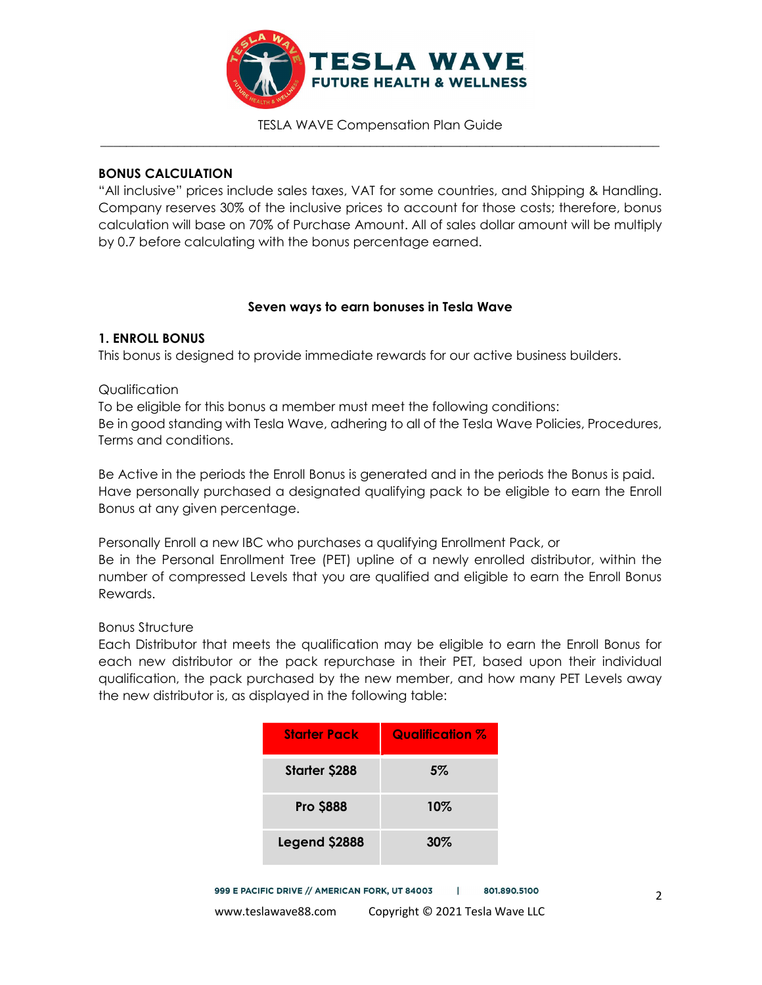

### BONUS CALCULATION

"All inclusive" prices include sales taxes, VAT for some countries, and Shipping & Handling. Company reserves 30% of the inclusive prices to account for those costs; therefore, bonus calculation will base on 70% of Purchase Amount. All of sales dollar amount will be multiply by 0.7 before calculating with the bonus percentage earned.

## Seven ways to earn bonuses in Tesla Wave

## 1. ENROLL BONUS

This bonus is designed to provide immediate rewards for our active business builders.

## **Qualification**

To be eligible for this bonus a member must meet the following conditions: Be in good standing with Tesla Wave, adhering to all of the Tesla Wave Policies, Procedures, Terms and conditions.

Be Active in the periods the Enroll Bonus is generated and in the periods the Bonus is paid. Have personally purchased a designated qualifying pack to be eligible to earn the Enroll Bonus at any given percentage.

Personally Enroll a new IBC who purchases a qualifying Enrollment Pack, or Be in the Personal Enrollment Tree (PET) upline of a newly enrolled distributor, within the number of compressed Levels that you are qualified and eligible to earn the Enroll Bonus Rewards.

### Bonus Structure

Each Distributor that meets the qualification may be eligible to earn the Enroll Bonus for each new distributor or the pack repurchase in their PET, based upon their individual qualification, the pack purchased by the new member, and how many PET Levels away the new distributor is, as displayed in the following table:

| <b>Starter Pack</b>  | <b>Qualification %</b> |
|----------------------|------------------------|
| <b>Starter \$288</b> | 5%                     |
| <b>Pro \$888</b>     | $10\%$                 |
| Legend \$2888        | $30\%$                 |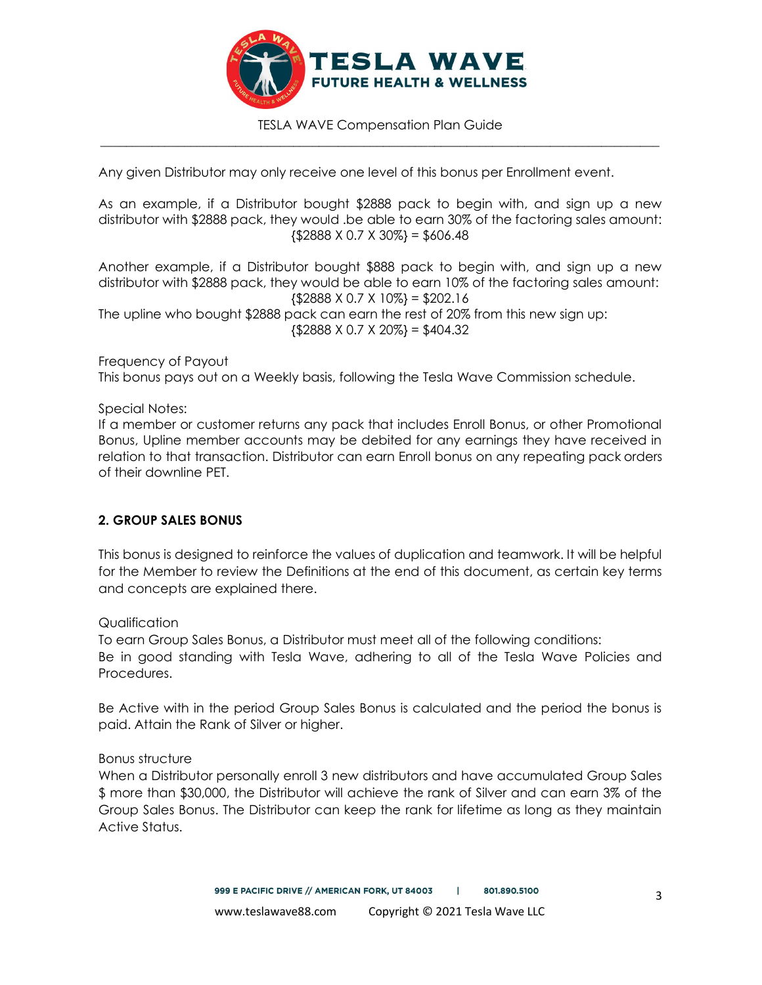

Any given Distributor may only receive one level of this bonus per Enrollment event.

As an example, if a Distributor bought \$2888 pack to begin with, and sign up a new distributor with \$2888 pack, they would .be able to earn 30% of the factoring sales amount:  ${\$2888 \times 0.7 \times 30\%} = $606.48$ 

Another example, if a Distributor bought \$888 pack to begin with, and sign up a new distributor with \$2888 pack, they would be able to earn 10% of the factoring sales amount:  $\{\$2888 \times 0.7 \times 10\% \} = \$202.16$ The upline who bought \$2888 pack can earn the rest of 20% from this new sign up:  ${52888 \times 0.7 \times 20\%} = $404.32$ 

Frequency of Payout This bonus pays out on a Weekly basis, following the Tesla Wave Commission schedule.

Special Notes:

If a member or customer returns any pack that includes Enroll Bonus, or other Promotional Bonus, Upline member accounts may be debited for any earnings they have received in relation to that transaction. Distributor can earn Enroll bonus on any repeating pack orders of their downline PET.

### 2. GROUP SALES BONUS

This bonus is designed to reinforce the values of duplication and teamwork. It will be helpful for the Member to review the Definitions at the end of this document, as certain key terms and concepts are explained there.

Qualification

To earn Group Sales Bonus, a Distributor must meet all of the following conditions: Be in good standing with Tesla Wave, adhering to all of the Tesla Wave Policies and Procedures.

Be Active with in the period Group Sales Bonus is calculated and the period the bonus is paid. Attain the Rank of Silver or higher.

Bonus structure

When a Distributor personally enroll 3 new distributors and have accumulated Group Sales \$ more than \$30,000, the Distributor will achieve the rank of Silver and can earn 3% of the Group Sales Bonus. The Distributor can keep the rank for lifetime as long as they maintain Active Status.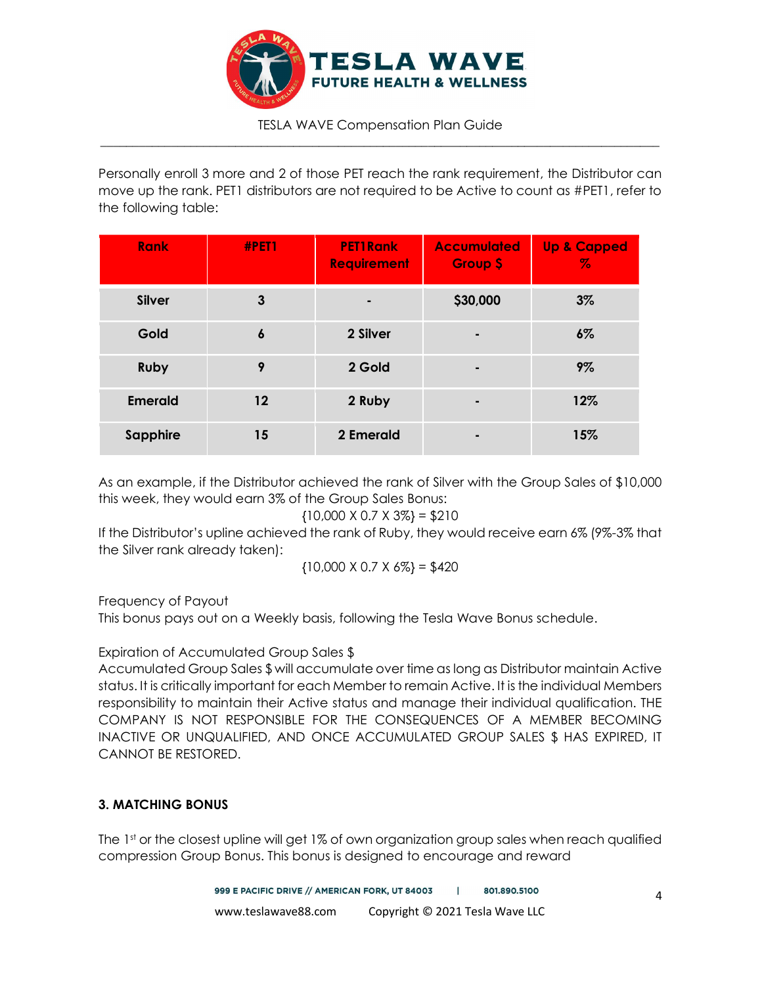

Personally enroll 3 more and 2 of those PET reach the rank requirement, the Distributor can move up the rank. PET1 distributors are not required to be Active to count as #PET1, refer to the following table:

| <b>Rank</b>    | #PET1             | <b>PET1Rank</b><br><b>Requirement</b> | <b>Accumulated</b><br><b>Group \$</b> | <b>Up &amp; Capped</b><br>$\%$ |
|----------------|-------------------|---------------------------------------|---------------------------------------|--------------------------------|
| <b>Silver</b>  | 3                 |                                       | \$30,000                              | $3\%$                          |
| Gold           | $\boldsymbol{6}$  | 2 Silver                              | -                                     | $6\%$                          |
| <b>Ruby</b>    | 9                 | 2 Gold                                |                                       | 9%                             |
| <b>Emerald</b> | $12 \ \mathsf{ }$ | 2 Ruby                                |                                       | 12%                            |
| Sapphire       | 15                | 2 Emerald                             |                                       | 15%                            |

As an example, if the Distributor achieved the rank of Silver with the Group Sales of \$10,000 this week, they would earn 3% of the Group Sales Bonus:

$$
{10,000 \times 0.7 \times 3\%} = $210
$$

If the Distributor's upline achieved the rank of Ruby, they would receive earn 6% (9%-3% that the Silver rank already taken):

$$
{10,000 \times 0.7 \times 6\%} = $420
$$

Frequency of Payout

This bonus pays out on a Weekly basis, following the Tesla Wave Bonus schedule.

Expiration of Accumulated Group Sales \$

Accumulated Group Sales \$ will accumulate over time as long as Distributor maintain Active status. It is critically important for each Member to remain Active. It is the individual Members responsibility to maintain their Active status and manage their individual qualification. THE COMPANY IS NOT RESPONSIBLE FOR THE CONSEQUENCES OF A MEMBER BECOMING INACTIVE OR UNQUALIFIED, AND ONCE ACCUMULATED GROUP SALES \$ HAS EXPIRED, IT CANNOT BE RESTORED.

## 3. MATCHING BONUS

The 1st or the closest upline will get 1% of own organization group sales when reach qualified compression Group Bonus. This bonus is designed to encourage and reward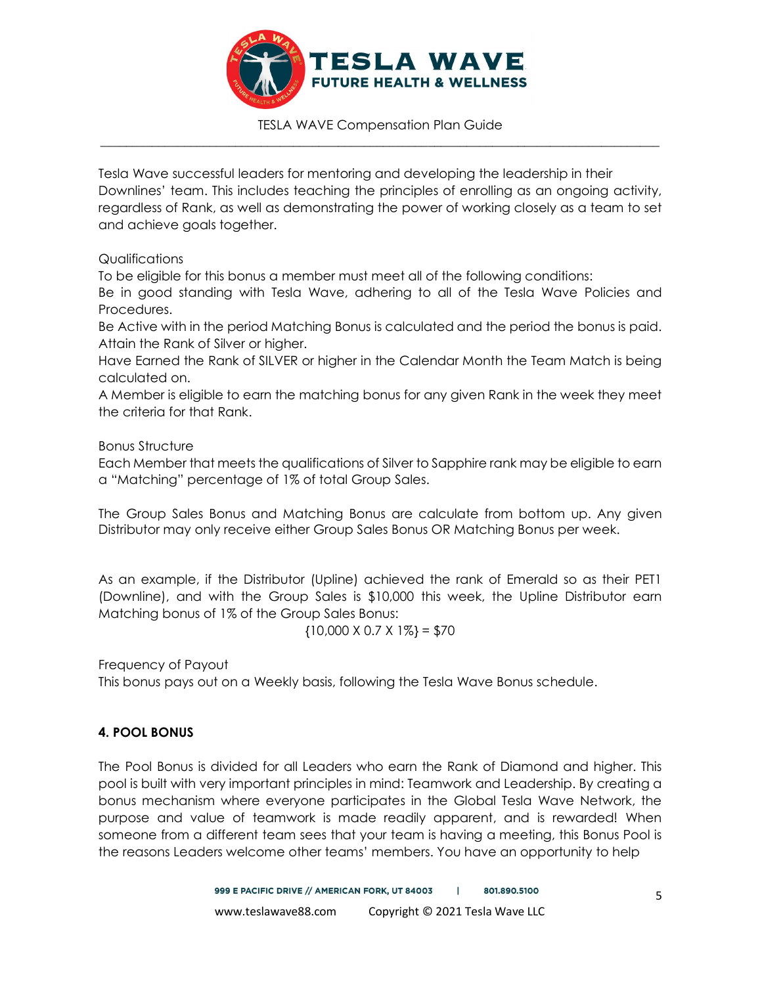

Tesla Wave successful leaders for mentoring and developing the leadership in their Downlines' team. This includes teaching the principles of enrolling as an ongoing activity, regardless of Rank, as well as demonstrating the power of working closely as a team to set and achieve goals together.

## Qualifications

To be eligible for this bonus a member must meet all of the following conditions:

Be in good standing with Tesla Wave, adhering to all of the Tesla Wave Policies and Procedures.

Be Active with in the period Matching Bonus is calculated and the period the bonus is paid. Attain the Rank of Silver or higher.

Have Earned the Rank of SILVER or higher in the Calendar Month the Team Match is being calculated on.

A Member is eligible to earn the matching bonus for any given Rank in the week they meet the criteria for that Rank.

## Bonus Structure

Each Member that meets the qualifications of Silver to Sapphire rank may be eligible to earn a "Matching" percentage of 1% of total Group Sales.

The Group Sales Bonus and Matching Bonus are calculate from bottom up. Any given Distributor may only receive either Group Sales Bonus OR Matching Bonus per week.

As an example, if the Distributor (Upline) achieved the rank of Emerald so as their PET1 (Downline), and with the Group Sales is \$10,000 this week, the Upline Distributor earn Matching bonus of 1% of the Group Sales Bonus:

 ${10,000 \times 0.7 \times 1\%} = $70$ 

Frequency of Payout This bonus pays out on a Weekly basis, following the Tesla Wave Bonus schedule.

# 4. POOL BONUS

The Pool Bonus is divided for all Leaders who earn the Rank of Diamond and higher. This pool is built with very important principles in mind: Teamwork and Leadership. By creating a bonus mechanism where everyone participates in the Global Tesla Wave Network, the purpose and value of teamwork is made readily apparent, and is rewarded! When someone from a different team sees that your team is having a meeting, this Bonus Pool is the reasons Leaders welcome other teams' members. You have an opportunity to help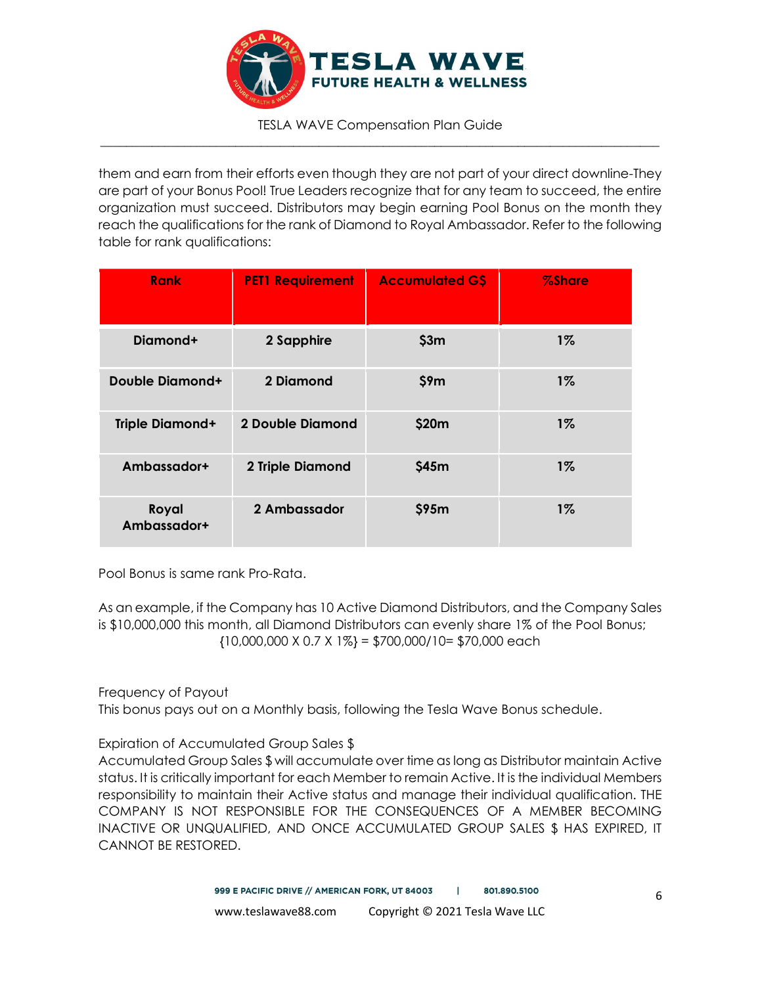

them and earn from their efforts even though they are not part of your direct downline-They are part of your Bonus Pool! True Leaders recognize that for any team to succeed, the entire organization must succeed. Distributors may begin earning Pool Bonus on the month they reach the qualifications for the rank of Diamond to Royal Ambassador. Refer to the following table for rank qualifications:

| <b>Rank</b>            | <b>PET1 Requirement</b> | <b>Accumulated GS</b> | <b>%Share</b> |
|------------------------|-------------------------|-----------------------|---------------|
| Diamond+               | 2 Sapphire              | \$3m                  | $1\%$         |
| <b>Double Diamond+</b> | 2 Diamond               | \$9m                  | $1\%$         |
| <b>Triple Diamond+</b> | 2 Double Diamond        | \$20m                 | $1\%$         |
| Ambassador+            | 2 Triple Diamond        | \$45m                 | $1\%$         |
| Royal<br>Ambassador+   | 2 Ambassador            | \$95m                 | $1\%$         |

Pool Bonus is same rank Pro-Rata.

As an example, if the Company has 10 Active Diamond Distributors, and the Company Sales is \$10,000,000 this month, all Diamond Distributors can evenly share 1% of the Pool Bonus;  ${10,000,000 \times 0.7 \times 1\%} = $700,000/10 = $70,000}$  each

Frequency of Payout

This bonus pays out on a Monthly basis, following the Tesla Wave Bonus schedule.

Expiration of Accumulated Group Sales \$

Accumulated Group Sales \$ will accumulate over time as long as Distributor maintain Active status. It is critically important for each Member to remain Active. It is the individual Members responsibility to maintain their Active status and manage their individual qualification. THE COMPANY IS NOT RESPONSIBLE FOR THE CONSEQUENCES OF A MEMBER BECOMING INACTIVE OR UNQUALIFIED, AND ONCE ACCUMULATED GROUP SALES \$ HAS EXPIRED, IT CANNOT BE RESTORED.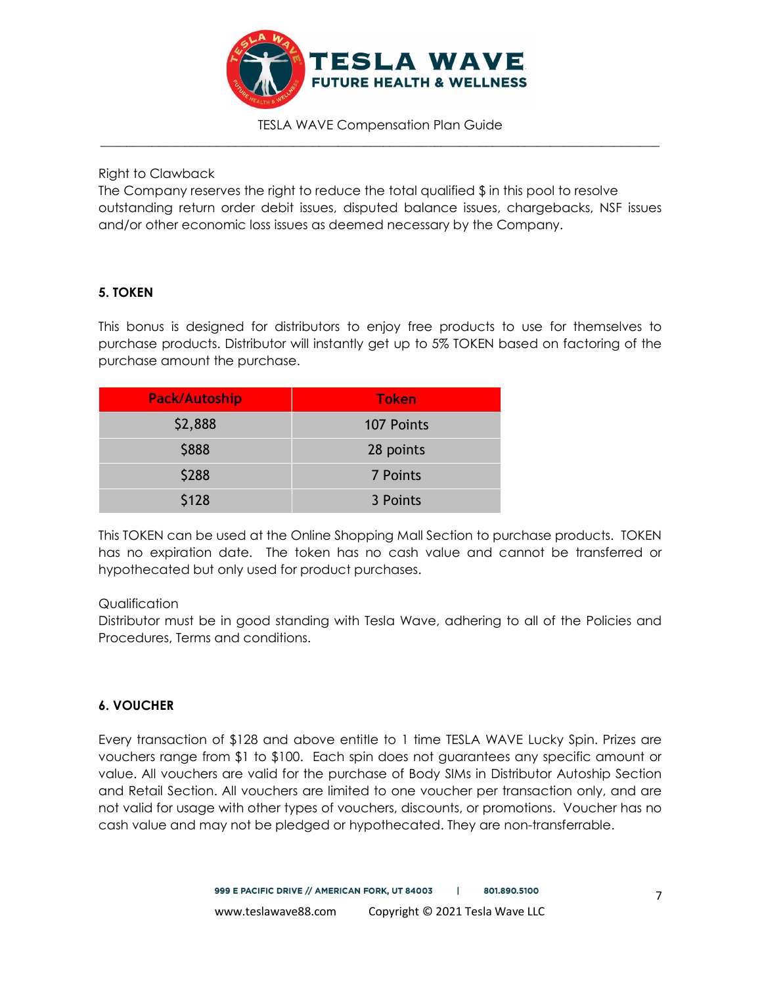

Right to Clawback

The Company reserves the right to reduce the total qualified  $$$  in this pool to resolve outstanding return order debit issues, disputed balance issues, chargebacks, NSF issues and/or other economic loss issues as deemed necessary by the Company.

## 5. TOKEN

This bonus is designed for distributors to enjoy free products to use for themselves to purchase products. Distributor will instantly get up to 5% TOKEN based on factoring of the purchase amount the purchase.

| <b>Pack/Autoship</b> | <b>Token</b> |
|----------------------|--------------|
| \$2,888              | 107 Points   |
| \$888                | 28 points    |
| \$288                | 7 Points     |
| \$128                | 3 Points     |

This TOKEN can be used at the Online Shopping Mall Section to purchase products. TOKEN has no expiration date. The token has no cash value and cannot be transferred or hypothecated but only used for product purchases.

### Qualification

Distributor must be in good standing with Tesla Wave, adhering to all of the Policies and Procedures, Terms and conditions.

## 6. VOUCHER

Every transaction of \$128 and above entitle to 1 time TESLA WAVE Lucky Spin. Prizes are vouchers range from \$1 to \$100. Each spin does not guarantees any specific amount or value. All vouchers are valid for the purchase of Body SIMs in Distributor Autoship Section and Retail Section. All vouchers are limited to one voucher per transaction only, and are not valid for usage with other types of vouchers, discounts, or promotions. Voucher has no cash value and may not be pledged or hypothecated. They are non-transferrable.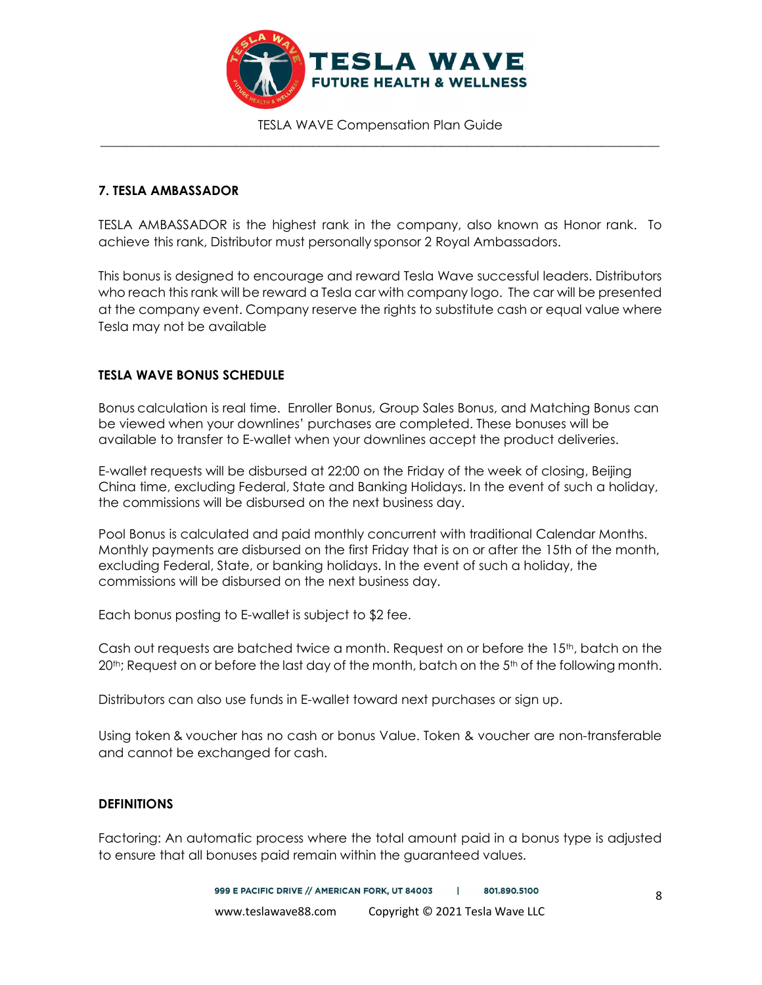

### 7. TESLA AMBASSADOR

TESLA AMBASSADOR is the highest rank in the company, also known as Honor rank. To achieve this rank, Distributor must personally sponsor 2 Royal Ambassadors.

This bonus is designed to encourage and reward Tesla Wave successful leaders. Distributors who reach this rank will be reward a Tesla car with company logo. The car will be presented at the company event. Company reserve the rights to substitute cash or equal value where Tesla may not be available

### TESLA WAVE BONUS SCHEDULE

Bonus calculation is real time. Enroller Bonus, Group Sales Bonus, and Matching Bonus can be viewed when your downlines' purchases are completed. These bonuses will be available to transfer to E-wallet when your downlines accept the product deliveries.

E-wallet requests will be disbursed at 22:00 on the Friday of the week of closing, Beijing China time, excluding Federal, State and Banking Holidays. In the event of such a holiday, the commissions will be disbursed on the next business day.

Pool Bonus is calculated and paid monthly concurrent with traditional Calendar Months. Monthly payments are disbursed on the first Friday that is on or after the 15th of the month, excluding Federal, State, or banking holidays. In the event of such a holiday, the commissions will be disbursed on the next business day.

Each bonus posting to E-wallet is subject to \$2 fee.

Cash out requests are batched twice a month. Request on or before the 15<sup>th</sup>, batch on the  $20<sup>th</sup>$ ; Request on or before the last day of the month, batch on the 5<sup>th</sup> of the following month.

Distributors can also use funds in E-wallet toward next purchases or sign up.

Using token & voucher has no cash or bonus Value. Token & voucher are non-transferable and cannot be exchanged for cash.

### **DEFINITIONS**

Factoring: An automatic process where the total amount paid in a bonus type is adjusted to ensure that all bonuses paid remain within the guaranteed values.